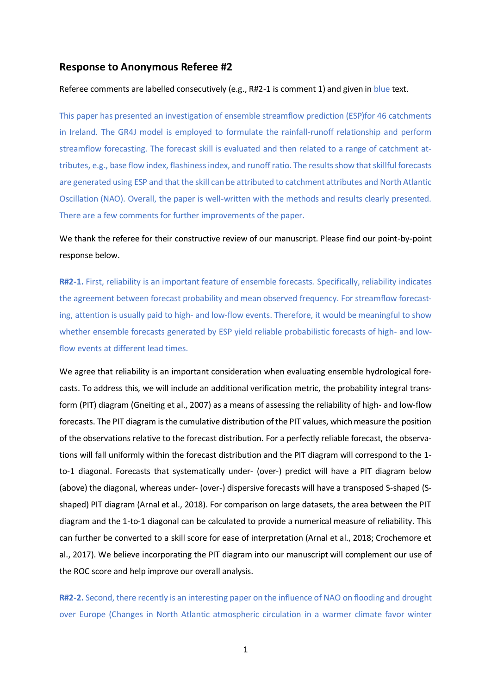## **Response to Anonymous Referee #2**

## Referee comments are labelled consecutively (e.g., R#2-1 is comment 1) and given in blue text.

This paper has presented an investigation of ensemble streamflow prediction (ESP)for 46 catchments in Ireland. The GR4J model is employed to formulate the rainfall-runoff relationship and perform streamflow forecasting. The forecast skill is evaluated and then related to a range of catchment attributes, e.g., base flow index, flashinessindex, and runoff ratio. The results show that skillful forecasts are generated using ESP and that the skill can be attributed to catchment attributes and North Atlantic Oscillation (NAO). Overall, the paper is well-written with the methods and results clearly presented. There are a few comments for further improvements of the paper.

We thank the referee for their constructive review of our manuscript. Please find our point-by-point response below.

**R#2-1.** First, reliability is an important feature of ensemble forecasts. Specifically, reliability indicates the agreement between forecast probability and mean observed frequency. For streamflow forecasting, attention is usually paid to high- and low-flow events. Therefore, it would be meaningful to show whether ensemble forecasts generated by ESP yield reliable probabilistic forecasts of high- and lowflow events at different lead times.

We agree that reliability is an important consideration when evaluating ensemble hydrological forecasts. To address this, we will include an additional verification metric, the probability integral transform (PIT) diagram (Gneiting et al., 2007) as a means of assessing the reliability of high- and low-flow forecasts. The PIT diagram is the cumulative distribution of the PIT values, which measure the position of the observations relative to the forecast distribution. For a perfectly reliable forecast, the observations will fall uniformly within the forecast distribution and the PIT diagram will correspond to the 1 to-1 diagonal. Forecasts that systematically under- (over-) predict will have a PIT diagram below (above) the diagonal, whereas under- (over-) dispersive forecasts will have a transposed S-shaped (Sshaped) PIT diagram (Arnal et al., 2018). For comparison on large datasets, the area between the PIT diagram and the 1-to-1 diagonal can be calculated to provide a numerical measure of reliability. This can further be converted to a skill score for ease of interpretation (Arnal et al., 2018; Crochemore et al., 2017). We believe incorporating the PIT diagram into our manuscript will complement our use of the ROC score and help improve our overall analysis.

**R#2-2.** Second, there recently is an interesting paper on the influence of NAO on flooding and drought over Europe (Changes in North Atlantic atmospheric circulation in a warmer climate favor winter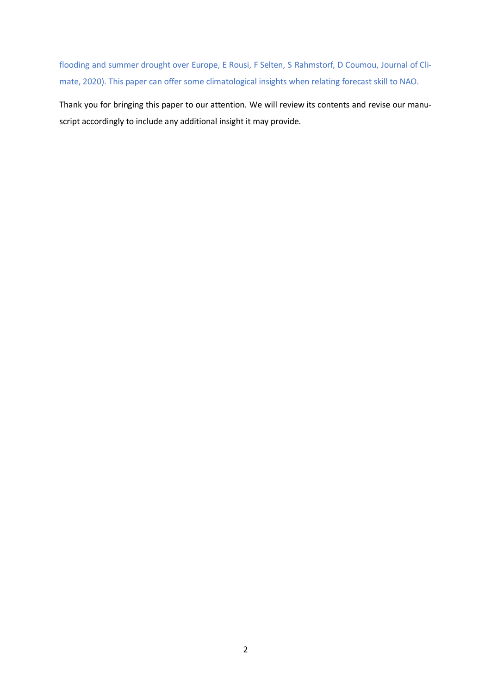flooding and summer drought over Europe, E Rousi, F Selten, S Rahmstorf, D Coumou, Journal of Climate, 2020). This paper can offer some climatological insights when relating forecast skill to NAO.

Thank you for bringing this paper to our attention. We will review its contents and revise our manuscript accordingly to include any additional insight it may provide.